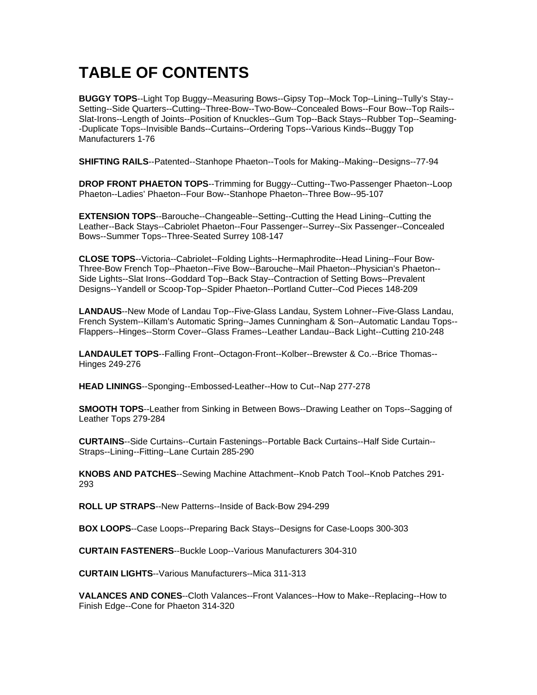## **TABLE OF CONTENTS**

**BUGGY TOPS**--Light Top Buggy--Measuring Bows--Gipsy Top--Mock Top--Lining--Tully's Stay-- Setting--Side Quarters--Cutting--Three-Bow--Two-Bow--Concealed Bows--Four Bow--Top Rails-- Slat-Irons--Length of Joints--Position of Knuckles--Gum Top--Back Stays--Rubber Top--Seaming- -Duplicate Tops--Invisible Bands--Curtains--Ordering Tops--Various Kinds--Buggy Top Manufacturers 1-76

**SHIFTING RAILS**--Patented--Stanhope Phaeton--Tools for Making--Making--Designs--77-94

**DROP FRONT PHAETON TOPS**--Trimming for Buggy--Cutting--Two-Passenger Phaeton--Loop Phaeton--Ladies' Phaeton--Four Bow--Stanhope Phaeton--Three Bow--95-107

**EXTENSION TOPS**--Barouche--Changeable--Setting--Cutting the Head Lining--Cutting the Leather--Back Stays--Cabriolet Phaeton--Four Passenger--Surrey--Six Passenger--Concealed Bows--Summer Tops--Three-Seated Surrey 108-147

**CLOSE TOPS**--Victoria--Cabriolet--Folding Lights--Hermaphrodite--Head Lining--Four Bow-Three-Bow French Top--Phaeton--Five Bow--Barouche--Mail Phaeton--Physician's Phaeton-- Side Lights--Slat Irons--Goddard Top--Back Stay--Contraction of Setting Bows--Prevalent Designs--Yandell or Scoop-Top--Spider Phaeton--Portland Cutter--Cod Pieces 148-209

**LANDAUS**--New Mode of Landau Top--Five-Glass Landau, System Lohner--Five-Glass Landau, French System--Killam's Automatic Spring--James Cunningham & Son--Automatic Landau Tops-- Flappers--Hinges--Storm Cover--Glass Frames--Leather Landau--Back Light--Cutting 210-248

**LANDAULET TOPS**--Falling Front--Octagon-Front--Kolber--Brewster & Co.--Brice Thomas-- Hinges 249-276

**HEAD LININGS**--Sponging--Embossed-Leather--How to Cut--Nap 277-278

**SMOOTH TOPS**--Leather from Sinking in Between Bows--Drawing Leather on Tops--Sagging of Leather Tops 279-284

**CURTAINS**--Side Curtains--Curtain Fastenings--Portable Back Curtains--Half Side Curtain-- Straps--Lining--Fitting--Lane Curtain 285-290

**KNOBS AND PATCHES**--Sewing Machine Attachment--Knob Patch Tool--Knob Patches 291- 293

**ROLL UP STRAPS**--New Patterns--Inside of Back-Bow 294-299

**BOX LOOPS**--Case Loops--Preparing Back Stays--Designs for Case-Loops 300-303

**CURTAIN FASTENERS**--Buckle Loop--Various Manufacturers 304-310

**CURTAIN LIGHTS**--Various Manufacturers--Mica 311-313

**VALANCES AND CONES**--Cloth Valances--Front Valances--How to Make--Replacing--How to Finish Edge--Cone for Phaeton 314-320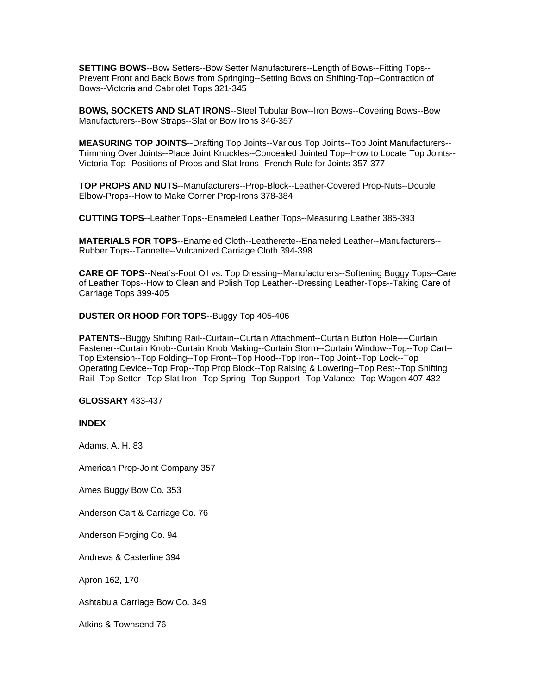**SETTING BOWS**--Bow Setters--Bow Setter Manufacturers--Length of Bows--Fitting Tops-- Prevent Front and Back Bows from Springing--Setting Bows on Shifting-Top--Contraction of Bows--Victoria and Cabriolet Tops 321-345

**BOWS, SOCKETS AND SLAT IRONS**--Steel Tubular Bow--Iron Bows--Covering Bows--Bow Manufacturers--Bow Straps--Slat or Bow Irons 346-357

**MEASURING TOP JOINTS**--Drafting Top Joints--Various Top Joints--Top Joint Manufacturers-- Trimming Over Joints--Place Joint Knuckles--Concealed Jointed Top--How to Locate Top Joints-- Victoria Top--Positions of Props and Slat Irons--French Rule for Joints 357-377

**TOP PROPS AND NUTS**--Manufacturers--Prop-Block--Leather-Covered Prop-Nuts--Double Elbow-Props--How to Make Corner Prop-Irons 378-384

**CUTTING TOPS**--Leather Tops--Enameled Leather Tops--Measuring Leather 385-393

**MATERIALS FOR TOPS**--Enameled Cloth--Leatherette--Enameled Leather--Manufacturers-- Rubber Tops--Tannette--Vulcanized Carriage Cloth 394-398

**CARE OF TOPS**--Neat's-Foot Oil vs. Top Dressing--Manufacturers--Softening Buggy Tops--Care of Leather Tops--How to Clean and Polish Top Leather--Dressing Leather-Tops--Taking Care of Carriage Tops 399-405

## **DUSTER OR HOOD FOR TOPS**--Buggy Top 405-406

**PATENTS**--Buggy Shifting Rail--Curtain--Curtain Attachment--Curtain Button Hole----Curtain Fastener--Curtain Knob--Curtain Knob Making--Curtain Storm--Curtain Window--Top--Top Cart-- Top Extension--Top Folding--Top Front--Top Hood--Top Iron--Top Joint--Top Lock--Top Operating Device--Top Prop--Top Prop Block--Top Raising & Lowering--Top Rest--Top Shifting Rail--Top Setter--Top Slat Iron--Top Spring--Top Support--Top Valance--Top Wagon 407-432

## **GLOSSARY** 433-437

## **INDEX**

Adams, A. H. 83

American Prop-Joint Company 357

Ames Buggy Bow Co. 353

Anderson Cart & Carriage Co. 76

Anderson Forging Co. 94

Andrews & Casterline 394

Apron 162, 170

Ashtabula Carriage Bow Co. 349

Atkins & Townsend 76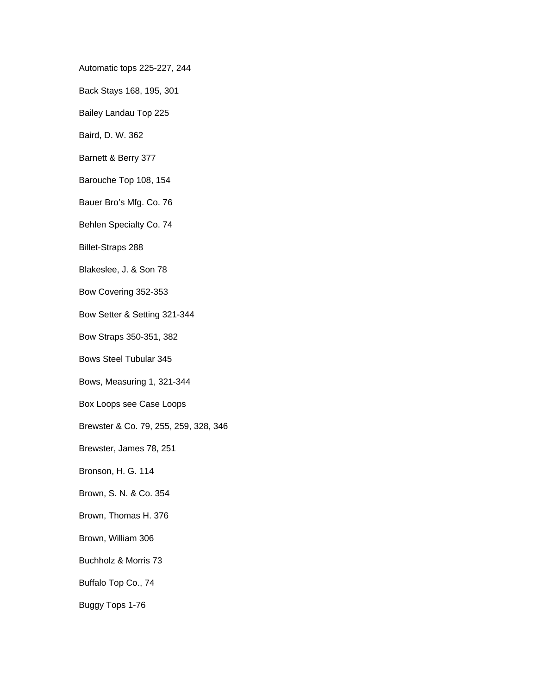Automatic tops 225-227, 244

Back Stays 168, 195, 301

Bailey Landau Top 225

Baird, D. W. 362

Barnett & Berry 377

Barouche Top 108, 154

Bauer Bro's Mfg. Co. 76

Behlen Specialty Co. 74

Billet-Straps 288

Blakeslee, J. & Son 78

Bow Covering 352-353

Bow Setter & Setting 321-344

Bow Straps 350-351, 382

Bows Steel Tubular 345

Bows, Measuring 1, 321-344

Box Loops see Case Loops

Brewster & Co. 79, 255, 259, 328, 346

Brewster, James 78, 251

Bronson, H. G. 114

Brown, S. N. & Co. 354

Brown, Thomas H. 376

Brown, William 306

Buchholz & Morris 73

Buffalo Top Co., 74

Buggy Tops 1-76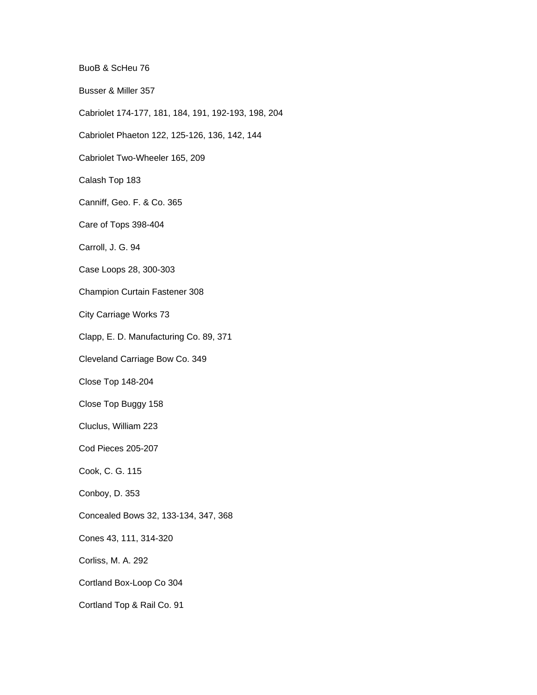BuoB & ScHeu 76

Busser & Miller 357

- Cabriolet 174-177, 181, 184, 191, 192-193, 198, 204
- Cabriolet Phaeton 122, 125-126, 136, 142, 144

Cabriolet Two-Wheeler 165, 209

Calash Top 183

Canniff, Geo. F. & Co. 365

Care of Tops 398-404

Carroll, J. G. 94

Case Loops 28, 300-303

Champion Curtain Fastener 308

City Carriage Works 73

Clapp, E. D. Manufacturing Co. 89, 371

Cleveland Carriage Bow Co. 349

Close Top 148-204

Close Top Buggy 158

Cluclus, William 223

Cod Pieces 205-207

Cook, C. G. 115

Conboy, D. 353

Concealed Bows 32, 133-134, 347, 368

Cones 43, 111, 314-320

Corliss, M. A. 292

Cortland Box-Loop Co 304

Cortland Top & Rail Co. 91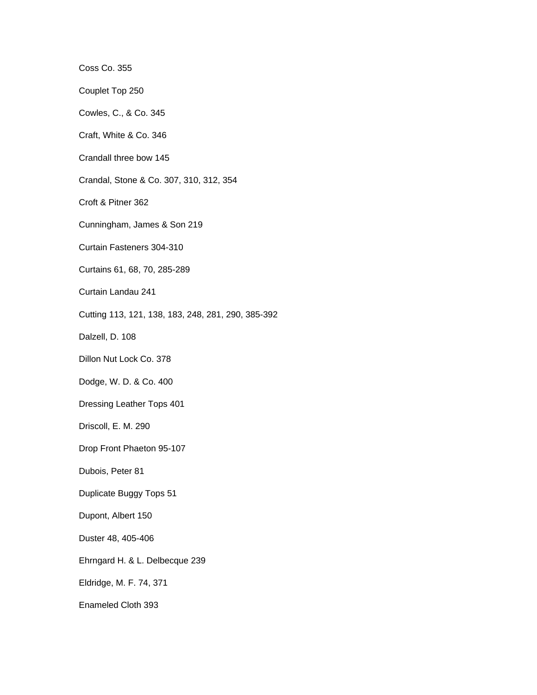Coss Co. 355

Couplet Top 250

Cowles, C., & Co. 345

Craft, White & Co. 346

Crandall three bow 145

Crandal, Stone & Co. 307, 310, 312, 354

Croft & Pitner 362

Cunningham, James & Son 219

Curtain Fasteners 304-310

Curtains 61, 68, 70, 285-289

Curtain Landau 241

Cutting 113, 121, 138, 183, 248, 281, 290, 385-392

Dalzell, D. 108

Dillon Nut Lock Co. 378

Dodge, W. D. & Co. 400

Dressing Leather Tops 401

Driscoll, E. M. 290

Drop Front Phaeton 95-107

Dubois, Peter 81

Duplicate Buggy Tops 51

Dupont, Albert 150

Duster 48, 405-406

Ehrngard H. & L. Delbecque 239

Eldridge, M. F. 74, 371

Enameled Cloth 393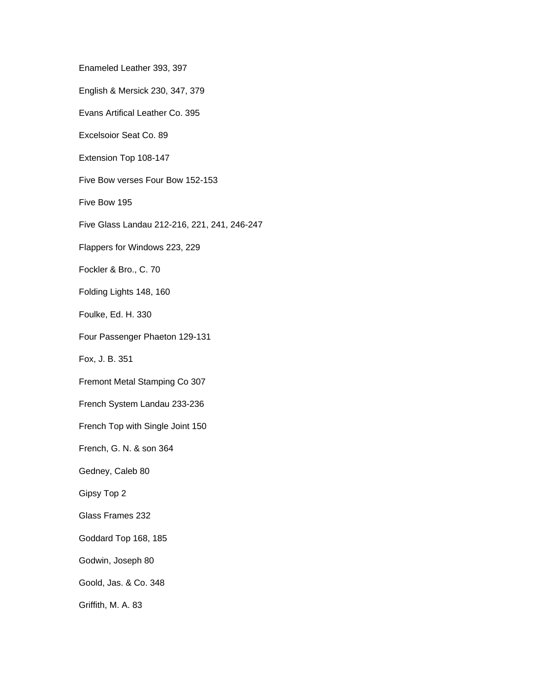Enameled Leather 393, 397

English & Mersick 230, 347, 379

Evans Artifical Leather Co. 395

Excelsoior Seat Co. 89

Extension Top 108-147

Five Bow verses Four Bow 152-153

Five Bow 195

Five Glass Landau 212-216, 221, 241, 246-247

Flappers for Windows 223, 229

Fockler & Bro., C. 70

Folding Lights 148, 160

Foulke, Ed. H. 330

Four Passenger Phaeton 129-131

Fox, J. B. 351

Fremont Metal Stamping Co 307

French System Landau 233-236

French Top with Single Joint 150

French, G. N. & son 364

Gedney, Caleb 80

Gipsy Top 2

Glass Frames 232

Goddard Top 168, 185

Godwin, Joseph 80

Goold, Jas. & Co. 348

Griffith, M. A. 83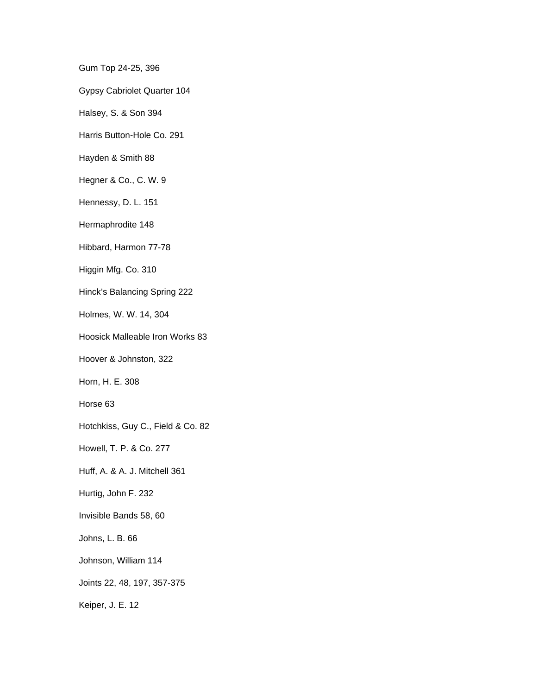Gum Top 24-25, 396

Gypsy Cabriolet Quarter 104

Halsey, S. & Son 394

Harris Button-Hole Co. 291

Hayden & Smith 88

Hegner & Co., C. W. 9

Hennessy, D. L. 151

Hermaphrodite 148

Hibbard, Harmon 77-78

Higgin Mfg. Co. 310

Hinck's Balancing Spring 222

Holmes, W. W. 14, 304

Hoosick Malleable Iron Works 83

Hoover & Johnston, 322

Horn, H. E. 308

Horse 63

Hotchkiss, Guy C., Field & Co. 82

Howell, T. P. & Co. 277

Huff, A. & A. J. Mitchell 361

Hurtig, John F. 232

Invisible Bands 58, 60

Johns, L. B. 66

Johnson, William 114

Joints 22, 48, 197, 357-375

Keiper, J. E. 12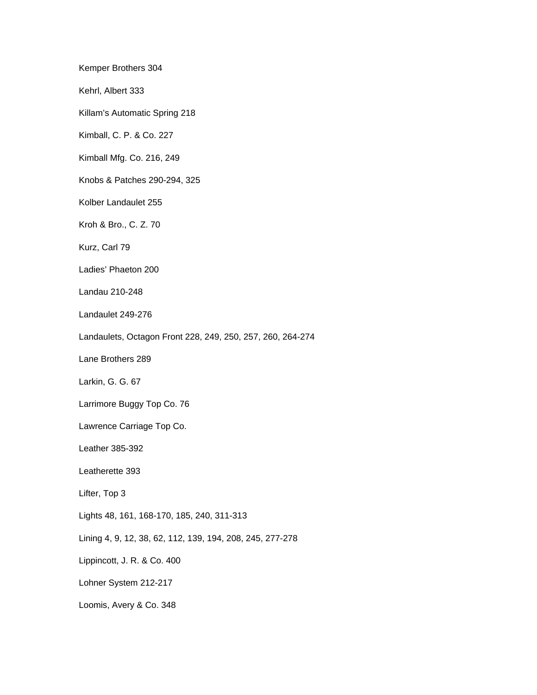Kemper Brothers 304

Kehrl, Albert 333

Killam's Automatic Spring 218

Kimball, C. P. & Co. 227

Kimball Mfg. Co. 216, 249

Knobs & Patches 290-294, 325

Kolber Landaulet 255

Kroh & Bro., C. Z. 70

Kurz, Carl 79

Ladies' Phaeton 200

Landau 210-248

Landaulet 249-276

Landaulets, Octagon Front 228, 249, 250, 257, 260, 264-274

Lane Brothers 289

Larkin, G. G. 67

Larrimore Buggy Top Co. 76

Lawrence Carriage Top Co.

Leather 385-392

Leatherette 393

Lifter, Top 3

Lights 48, 161, 168-170, 185, 240, 311-313

Lining 4, 9, 12, 38, 62, 112, 139, 194, 208, 245, 277-278

Lippincott, J. R. & Co. 400

Lohner System 212-217

Loomis, Avery & Co. 348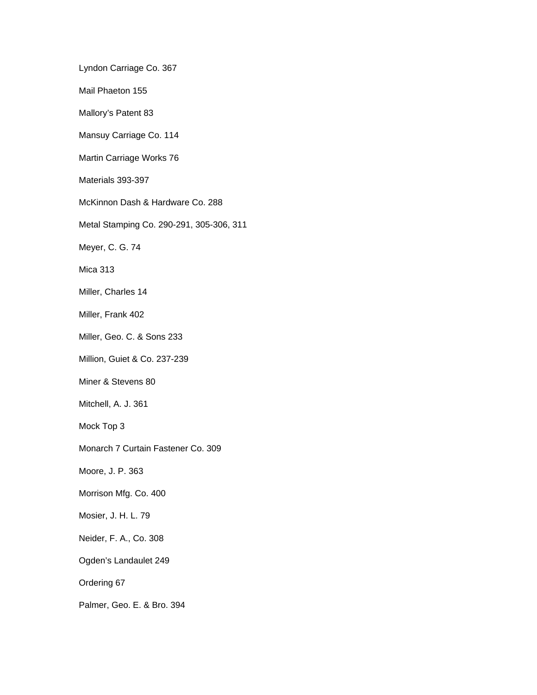Lyndon Carriage Co. 367

Mail Phaeton 155

Mallory's Patent 83

Mansuy Carriage Co. 114

Martin Carriage Works 76

Materials 393-397

McKinnon Dash & Hardware Co. 288

Metal Stamping Co. 290-291, 305-306, 311

Meyer, C. G. 74

Mica 313

Miller, Charles 14

Miller, Frank 402

Miller, Geo. C. & Sons 233

Million, Guiet & Co. 237-239

Miner & Stevens 80

Mitchell, A. J. 361

Mock Top 3

Monarch 7 Curtain Fastener Co. 309

Moore, J. P. 363

Morrison Mfg. Co. 400

Mosier, J. H. L. 79

Neider, F. A., Co. 308

Ogden's Landaulet 249

Ordering 67

Palmer, Geo. E. & Bro. 394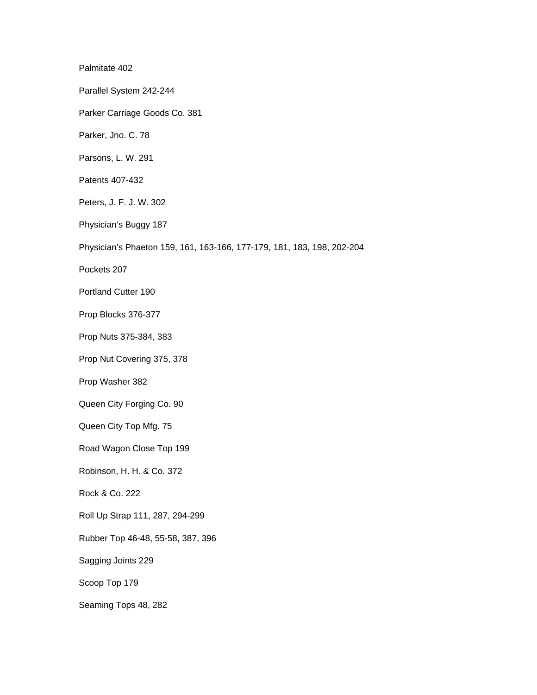Palmitate 402 Parallel System 242-244 Parker Carriage Goods Co. 381 Parker, Jno. C. 78 Parsons, L. W. 291 Patents 407-432 Peters, J. F. J. W. 302 Physician's Buggy 187 Physician's Phaeton 159, 161, 163-166, 177-179, 181, 183, 198, 202-204 Pockets 207 Portland Cutter 190 Prop Blocks 376-377 Prop Nuts 375-384, 383 Prop Nut Covering 375, 378 Prop Washer 382 Queen City Forging Co. 90 Queen City Top Mfg. 75 Road Wagon Close Top 199 Robinson, H. H. & Co. 372 Rock & Co. 222 Roll Up Strap 111, 287, 294-299 Rubber Top 46-48, 55-58, 387, 396 Sagging Joints 229 Scoop Top 179 Seaming Tops 48, 282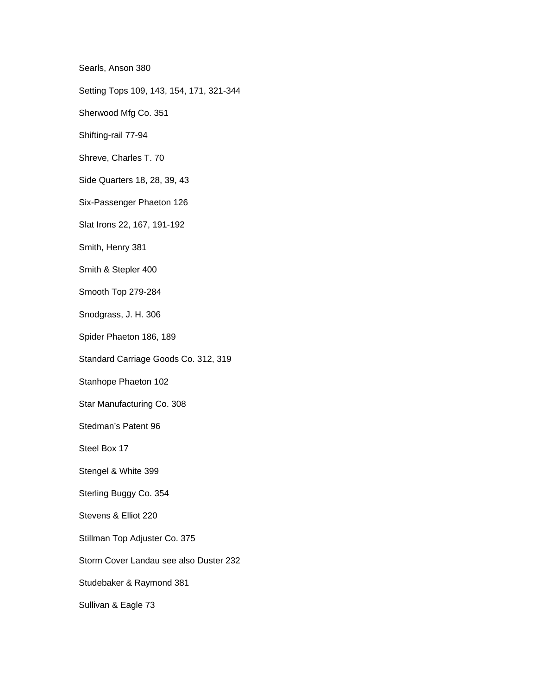Searls, Anson 380

Setting Tops 109, 143, 154, 171, 321-344

Sherwood Mfg Co. 351

Shifting-rail 77-94

Shreve, Charles T. 70

Side Quarters 18, 28, 39, 43

Six-Passenger Phaeton 126

Slat Irons 22, 167, 191-192

Smith, Henry 381

Smith & Stepler 400

Smooth Top 279-284

Snodgrass, J. H. 306

Spider Phaeton 186, 189

Standard Carriage Goods Co. 312, 319

Stanhope Phaeton 102

Star Manufacturing Co. 308

Stedman's Patent 96

Steel Box 17

Stengel & White 399

Sterling Buggy Co. 354

Stevens & Elliot 220

Stillman Top Adjuster Co. 375

Storm Cover Landau see also Duster 232

Studebaker & Raymond 381

Sullivan & Eagle 73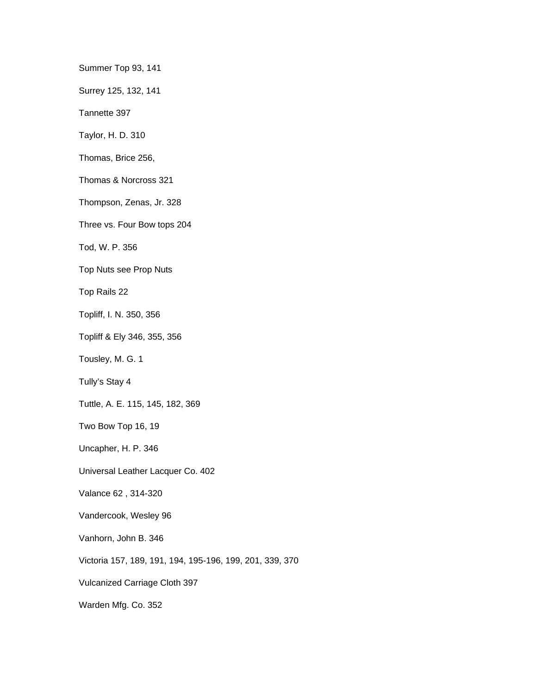Summer Top 93, 141

Surrey 125, 132, 141

Tannette 397

Taylor, H. D. 310

Thomas, Brice 256,

Thomas & Norcross 321

Thompson, Zenas, Jr. 328

Three vs. Four Bow tops 204

Tod, W. P. 356

Top Nuts see Prop Nuts

Top Rails 22

Topliff, I. N. 350, 356

Topliff & Ely 346, 355, 356

Tousley, M. G. 1

Tully's Stay 4

Tuttle, A. E. 115, 145, 182, 369

Two Bow Top 16, 19

Uncapher, H. P. 346

Universal Leather Lacquer Co. 402

Valance 62 , 314-320

Vandercook, Wesley 96

Vanhorn, John B. 346

Victoria 157, 189, 191, 194, 195-196, 199, 201, 339, 370

Vulcanized Carriage Cloth 397

Warden Mfg. Co. 352